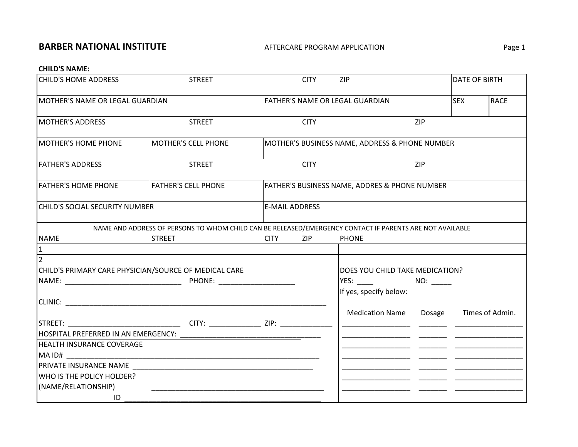## **BARBER NATIONAL INSTITUTE** AFTERCARE PROGRAM

## AFTERCARE PROGRAM APPLICATION **Example 20 YO FOR A PAGE 1**

#### **CHILD'S NAME:**

| <b>CHILD'S HOME ADDRESS</b>                           | <b>STREET</b>                                                                                            |                                                | <b>CITY</b> | ZIP                                           |             | DATE OF BIRTH |                 |  |
|-------------------------------------------------------|----------------------------------------------------------------------------------------------------------|------------------------------------------------|-------------|-----------------------------------------------|-------------|---------------|-----------------|--|
| MOTHER'S NAME OR LEGAL GUARDIAN                       | FATHER'S NAME OR LEGAL GUARDIAN                                                                          |                                                |             | <b>SEX</b>                                    | <b>RACE</b> |               |                 |  |
| <b>MOTHER'S ADDRESS</b>                               | <b>STREET</b>                                                                                            |                                                | <b>CITY</b> |                                               | ZIP         |               |                 |  |
| <b>MOTHER'S HOME PHONE</b>                            | MOTHER'S CELL PHONE                                                                                      | MOTHER'S BUSINESS NAME, ADDRESS & PHONE NUMBER |             |                                               |             |               |                 |  |
| <b>FATHER'S ADDRESS</b>                               | <b>STREET</b>                                                                                            |                                                | <b>CITY</b> | ZIP                                           |             |               |                 |  |
| <b>FATHER'S HOME PHONE</b>                            | <b>FATHER'S CELL PHONE</b>                                                                               |                                                |             | FATHER'S BUSINESS NAME, ADDRES & PHONE NUMBER |             |               |                 |  |
| CHILD'S SOCIAL SECURITY NUMBER                        |                                                                                                          | <b>E-MAIL ADDRESS</b>                          |             |                                               |             |               |                 |  |
|                                                       | NAME AND ADDRESS OF PERSONS TO WHOM CHILD CAN BE RELEASED/EMERGENCY CONTACT IF PARENTS ARE NOT AVAILABLE |                                                |             |                                               |             |               |                 |  |
| <b>NAME</b>                                           | <b>STREET</b>                                                                                            | <b>CITY</b>                                    | ZIP         | <b>PHONE</b>                                  |             |               |                 |  |
| 11.                                                   |                                                                                                          |                                                |             |                                               |             |               |                 |  |
|                                                       |                                                                                                          |                                                |             |                                               |             |               |                 |  |
| CHILD'S PRIMARY CARE PHYSICIAN/SOURCE OF MEDICAL CARE |                                                                                                          |                                                |             | DOES YOU CHILD TAKE MEDICATION?               |             |               |                 |  |
|                                                       |                                                                                                          |                                                |             |                                               | NO:         |               |                 |  |
|                                                       |                                                                                                          |                                                |             | If yes, specify below:                        |             |               |                 |  |
|                                                       |                                                                                                          |                                                |             |                                               |             |               |                 |  |
|                                                       |                                                                                                          |                                                |             | <b>Medication Name</b>                        | Dosage      |               | Times of Admin. |  |
|                                                       |                                                                                                          |                                                |             |                                               |             |               |                 |  |
|                                                       |                                                                                                          |                                                |             |                                               |             |               |                 |  |
| <b>HEALTH INSURANCE COVERAGE</b>                      |                                                                                                          |                                                |             |                                               |             |               |                 |  |
|                                                       |                                                                                                          |                                                |             |                                               |             |               |                 |  |
|                                                       |                                                                                                          |                                                |             |                                               |             |               |                 |  |
| WHO IS THE POLICY HOLDER?                             |                                                                                                          |                                                |             |                                               |             |               |                 |  |
| (NAME/RELATIONSHIP)                                   |                                                                                                          |                                                |             |                                               |             |               |                 |  |
| ID                                                    |                                                                                                          |                                                |             |                                               |             |               |                 |  |